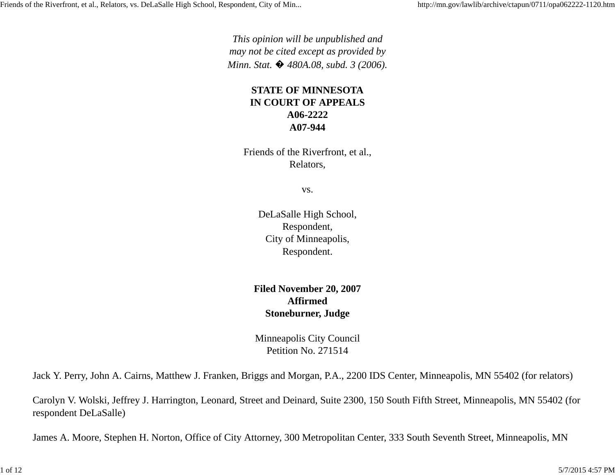*This opinion will be unpublished and may not be cited except as provided by Minn. Stat.*  $\bullet$  480A.08, subd. 3 (2006).

### **STATE OF MINNESOTA IN COURT OF APPEALS A06-2222A07-944**

Friends of the Riverfront, et al., Relators,

vs.

DeLaSalle High School, Respondent, City of Minneapolis, Respondent.

**Filed November 20, 2007 AffirmedStoneburner, Judge**

Minneapolis City Council Petition No. 271514

Jack Y. Perry, John A. Cairns, Matthew J. Franken, Briggs and Morgan, P.A., 2200 IDS Center, Minneapolis, MN 55402 (for relators)

Carolyn V. Wolski, Jeffrey J. Harrington, Leonard, Street and Deinard, Suite 2300, 150 South Fifth Street, Minneapolis, MN 55402 (for respondent DeLaSalle)

James A. Moore, Stephen H. Norton, Office of City Attorney, 300 Metropolitan Center, 333 South Seventh Street, Minneapolis, MN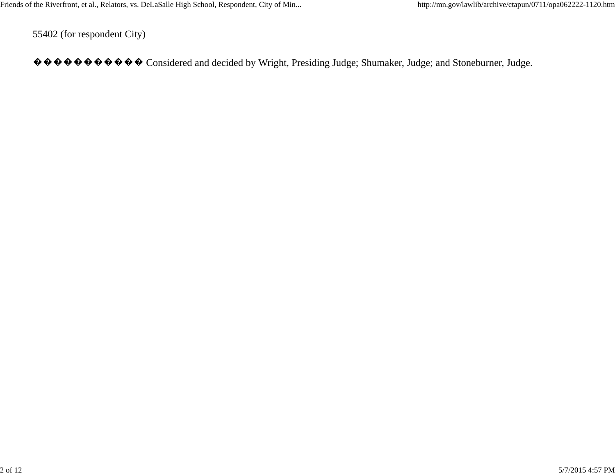55402 (for respondent City)

���������� Considered and decided by Wright, Presiding Judge; Shumaker, Judge; and Stoneburner, Judge.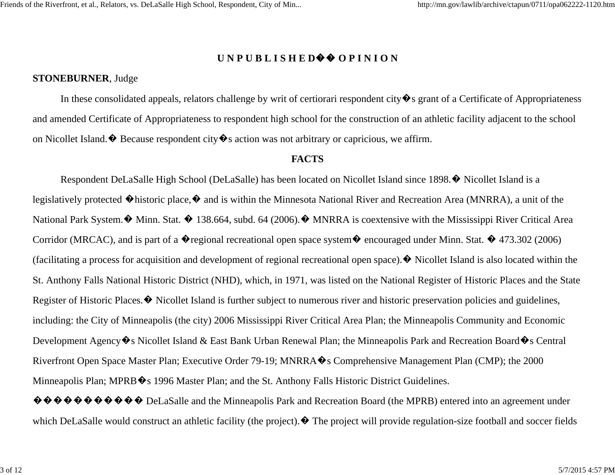#### **U N P U B L I S H E D**�� **O P I N I O N**

#### **STONEBURNER**, Judge

In these consolidated appeals, relators challenge by writ of certiorari respondent city  $\hat{\mathbf{\bullet}}$  s grant of a Certificate of Appropriateness and amended Certificate of Appropriateness to respondent high school for the construction of an athletic facility adjacent to the school on Nicollet Island.  $\bullet$  Because respondent city  $\bullet$  s action was not arbitrary or capricious, we affirm.

#### **FACTS**

Respondent DeLaSalle High School (DeLaSalle) has been located on Nicollet Island since 1898.� Nicollet Island is a legislatively protected �historic place,� and is within the Minnesota National River and Recreation Area (MNRRA), a unit of the National Park System.  $\bullet$  Minn. Stat.  $\bullet$  138.664, subd. 64 (2006).  $\bullet$  MNRRA is coextensive with the Mississippi River Critical Area Corridor (MRCAC), and is part of a  $\bullet$  regional recreational open space system  $\bullet$  encouraged under Minn. Stat.  $\bullet$  473.302 (2006) (facilitating a process for acquisition and development of regional recreational open space). $\bullet$  Nicollet Island is also located within the St. Anthony Falls National Historic District (NHD), which, in 1971, was listed on the National Register of Historic Places and the State Register of Historic Places.� Nicollet Island is further subject to numerous river and historic preservation policies and guidelines, including: the City of Minneapolis (the city) 2006 Mississippi River Critical Area Plan; the Minneapolis Community and Economic Development Agency�s Nicollet Island & East Bank Urban Renewal Plan; the Minneapolis Park and Recreation Board�s Central Riverfront Open Space Master Plan; Executive Order 79-19; MNRRA $\hat{\mathbf{\Phi}}$ s Comprehensive Management Plan (CMP); the 2000 Minneapolis Plan; MPRB  $\diamond$ s 1996 Master Plan; and the St. Anthony Falls Historic District Guidelines.

 $\Diamond \Diamond \Diamond \Diamond \Diamond \Diamond \Diamond \Diamond \Diamond \Diamond$  DeLaSalle and the Minneapolis Park and Recreation Board (the MPRB) entered into an agreement under which DeLaSalle would construct an athletic facility (the project).  $\bullet$  The project will provide regulation-size football and soccer fields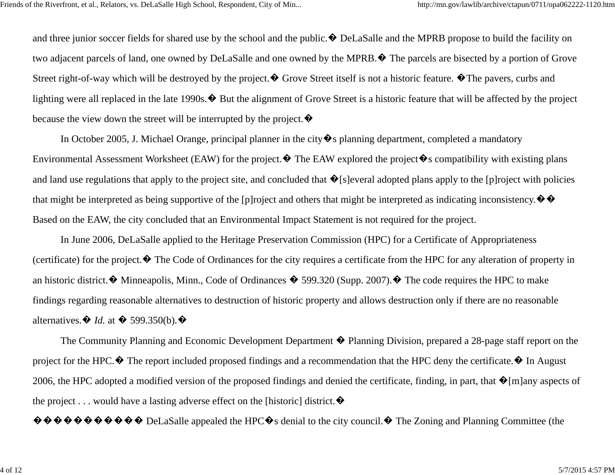and three junior soccer fields for shared use by the school and the public.  $\bullet$  DeLaSalle and the MPRB propose to build the facility on two adjacent parcels of land, one owned by DeLaSalle and one owned by the MPRB.� The parcels are bisected by a portion of Grove Street right-of-way which will be destroyed by the project.  $\bullet$  Grove Street itself is not a historic feature.  $\bullet$  The pavers, curbs and lighting were all replaced in the late 1990s.� But the alignment of Grove Street is a historic feature that will be affected by the project because the view down the street will be interrupted by the project.  $\bullet$ 

In October 2005, J. Michael Orange, principal planner in the city  $\hat{\mathbf{\bullet}}$  s planning department, completed a mandatory Environmental Assessment Worksheet (EAW) for the project.  $\bullet$  The EAW explored the project  $\bullet$  s compatibility with existing plans and land use regulations that apply to the project site, and concluded that  $\hat{\mathbf{\Phi}}$ [s]everal adopted plans apply to the [p]roject with policies that might be interpreted as being supportive of the [p]roject and others that might be interpreted as indicating inconsistency.  $\bullet \bullet$ Based on the EAW, the city concluded that an Environmental Impact Statement is not required for the project.

In June 2006, DeLaSalle applied to the Heritage Preservation Commission (HPC) for a Certificate of Appropriateness (certificate) for the project.� The Code of Ordinances for the city requires a certificate from the HPC for any alteration of property in an historic district.  $\bullet$  Minneapolis, Minn., Code of Ordinances  $\bullet$  599.320 (Supp. 2007).  $\bullet$  The code requires the HPC to make findings regarding reasonable alternatives to destruction of historic property and allows destruction only if there are no reasonable alternatives.� *Id.* at � 599.350(b)*.*�

The Community Planning and Economic Development Department � Planning Division, prepared a 28-page staff report on the project for the HPC. $\bullet$  The report included proposed findings and a recommendation that the HPC deny the certificate. $\bullet$  In August 2006, the HPC adopted a modified version of the proposed findings and denied the certificate, finding, in part, that  $\hat{\mathbf{\Phi}}$ [m]any aspects of the project . . . would have a lasting adverse effect on the [historic] district.  $\bullet$ 

 $\hat{\mathbf{\Phi}} \hat{\mathbf{\Phi}} \hat{\mathbf{\Phi}} \hat{\mathbf{\Phi}} \hat{\mathbf{\Phi}} \hat{\mathbf{\Phi}} \hat{\mathbf{\Phi}}$  DeLaSalle appealed the HPC $\hat{\mathbf{\Phi}}$ s denial to the city council.  $\hat{\mathbf{\Phi}}$  The Zoning and Planning Committee (the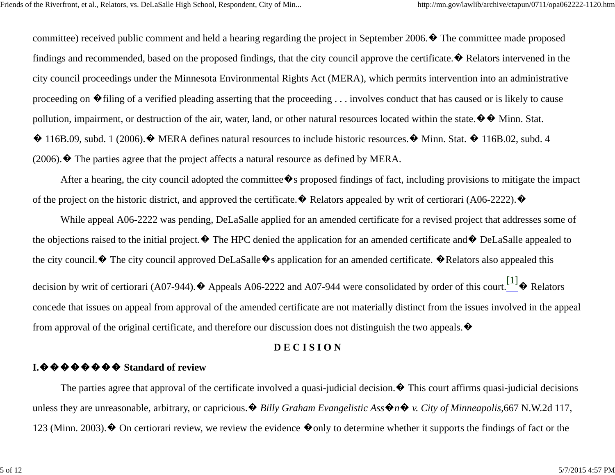committee) received public comment and held a hearing regarding the project in September 2006.� The committee made proposed findings and recommended, based on the proposed findings, that the city council approve the certificate. $\bullet$  Relators intervened in the city council proceedings under the Minnesota Environmental Rights Act (MERA), which permits intervention into an administrative proceeding on �filing of a verified pleading asserting that the proceeding . . . involves conduct that has caused or is likely to cause pollution, impairment, or destruction of the air, water, land, or other natural resources located within the state.  $\diamondsuit \diamondsuit$  Minn. Stat. � 116B.09, subd. 1 (2006).� MERA defines natural resources to include historic resources.� Minn. Stat. � 116B.02, subd. 4  $(2006)$ .  $\blacklozenge$  The parties agree that the project affects a natural resource as defined by MERA.

After a hearing, the city council adopted the committee  $\blacklozenge$  s proposed findings of fact, including provisions to mitigate the impact of the project on the historic district, and approved the certificate.  $\bullet$  Relators appealed by writ of certiorari (A06-2222).  $\bullet$ 

While appeal A06-2222 was pending, DeLaSalle applied for an amended certificate for a revised project that addresses some of the objections raised to the initial project.  $\blacklozenge$  The HPC denied the application for an amended certificate and  $\blacklozenge$  DeLaSalle appealed to the city council.  $\hat{\mathbf{\Phi}}$  The city council approved DeLaSalle  $\hat{\mathbf{\Phi}}$ s application for an amended certificate.  $\hat{\mathbf{\Phi}}$ Relators also appealed this decision by writ of certiorari (A07-944).  $\blacklozenge$  Appeals A06-2222 and A07-944 were consolidated by order of this court.  $\begin{bmatrix} 1 \end{bmatrix}$  Relators concede that issues on appeal from approval of the amended certificate are not materially distinct from the issues involved in the appeal from approval of the original certificate, and therefore our discussion does not distinguish the two appeals.  $\bullet$ 

### **D E C I S I O N**

### **I.**�������� **Standard of review**

The parties agree that approval of the certificate involved a quasi-judicial decision.  $\bullet$  This court affirms quasi-judicial decisions unless they are unreasonable, arbitrary, or capricious.  $\bullet$  *Billy Graham Evangelistic Ass*  $\bullet$ *n* $\bullet$ *y*. City of Minneapolis, 667 N.W.2d 117, 123 (Minn. 2003).  $\bullet$  On certiorari review, we review the evidence  $\bullet$  only to determine whether it supports the findings of fact or the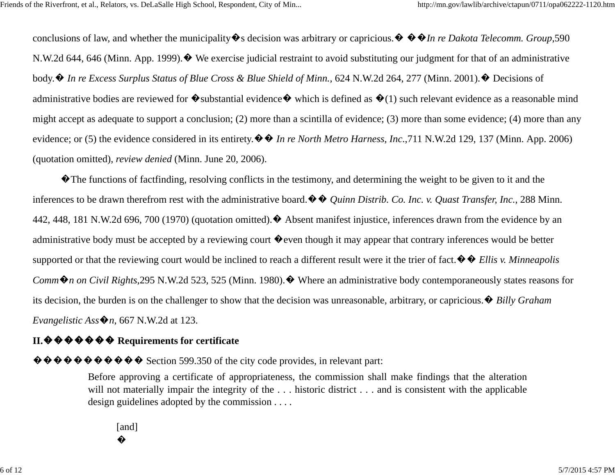conclusions of law, and whether the municipality�s decision was arbitrary or capricious.� ��*In re Dakota Telecomm. Group*,<sup>590</sup> N.W.2d 644, 646 (Minn. App. 1999).� We exercise judicial restraint to avoid substituting our judgment for that of an administrative body.� *In re Excess Surplus Status of Blue Cross & Blue Shield of Minn.*, 624 N.W.2d 264, 277 (Minn. 2001).� Decisions of administrative bodies are reviewed for  $\bullet$  substantial evidence  $\bullet$  which is defined as  $\bullet$  (1) such relevant evidence as a reasonable mind might accept as adequate to support a conclusion; (2) more than a scintilla of evidence; (3) more than some evidence; (4) more than any evidence; or (5) the evidence considered in its entirety.�� *In re North Metro Harness, Inc*.,711 N.W.2d 129, 137 (Minn. App. 2006) (quotation omitted), *review denied* (Minn. June 20, 2006).

�The functions of factfinding, resolving conflicts in the testimony, and determining the weight to be given to it and the inferences to be drawn therefrom rest with the administrative board.�� *Quinn Distrib. Co. Inc. v. Quast Transfer, Inc.*, 288 Minn. 442, 448, 181 N.W.2d 696, 700 (1970) (quotation omitted).  $\blacklozenge$  Absent manifest injustice, inferences drawn from the evidence by an administrative body must be accepted by a reviewing court  $\bullet$  even though it may appear that contrary inferences would be better supported or that the reviewing court would be inclined to reach a different result were it the trier of fact.�� *Ellis v. Minneapolis Comm�n on Civil Rights*,295 N.W.2d 523, 525 (Minn. 1980).� Where an administrative body contemporaneously states reasons for its decision, the burden is on the challenger to show that the decision was unreasonable, arbitrary, or capricious.� *Billy Graham Evangelistic Ass* $\mathbf{\hat{\Phi}}$ *n*, 667 N.W.2d at 123.

# **II.**������� Requirements for certificate

 $\hat{\mathbf{\Phi}} \hat{\mathbf{\Phi}} \hat{\mathbf{\Phi}} \hat{\mathbf{\Phi}} \hat{\mathbf{\Phi}} \hat{\mathbf{\Phi}} \hat{\mathbf{\Phi}}$  Section 599.350 of the city code provides, in relevant part:

Before approving a certificate of appropriateness, the commission shall make findings that the alteration will not materially impair the integrity of the ... historic district ... and is consistent with the applicable design guidelines adopted by the commission . . . .

[and] �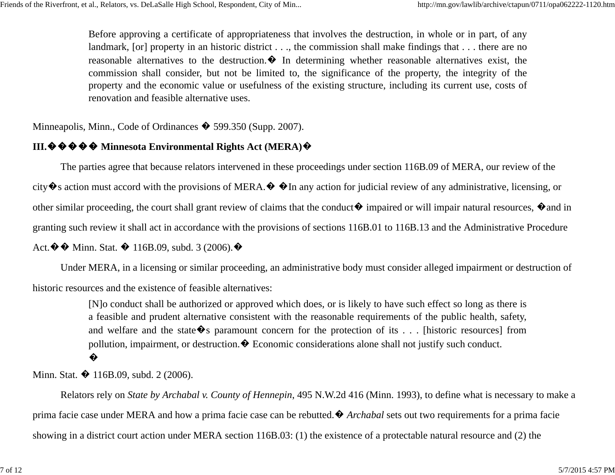Before approving a certificate of appropriateness that involves the destruction, in whole or in part, of any landmark, [or] property in an historic district . . ., the commission shall make findings that . . . there are no reasonable alternatives to the destruction. $\bullet$  In determining whether reasonable alternatives exist, the commission shall consider, but not be limited to, the significance of the property, the integrity of the property and the economic value or usefulness of the existing structure, including its current use, costs of renovation and feasible alternative uses.

Minneapolis, Minn., Code of Ordinances  $\hat{\mathbf{\bullet}}$  599.350 (Supp. 2007).

# **III.**����� **Minnesota Environmental Rights Act (MERA)**�

The parties agree that because relators intervened in these proceedings under section 116B.09 of MERA, our review of the city  $\hat{\bullet}$  s action must accord with the provisions of MERA.  $\hat{\bullet}$   $\hat{\bullet}$  In any action for judicial review of any administrative, licensing, or other similar proceeding, the court shall grant review of claims that the conduct  $\bullet$  impaired or will impair natural resources,  $\bullet$  and in granting such review it shall act in accordance with the provisions of sections 116B.01 to 116B.13 and the Administrative Procedure Act.  $\blacklozenge \blacklozenge$  Minn. Stat.  $\blacklozenge$  116B.09, subd. 3 (2006).  $\blacklozenge$ 

Under MERA, in a licensing or similar proceeding, an administrative body must consider alleged impairment or destruction of historic resources and the existence of feasible alternatives:

> [N]o conduct shall be authorized or approved which does, or is likely to have such effect so long as there is a feasible and prudent alternative consistent with the reasonable requirements of the public health, safety, and welfare and the state  $\hat{\mathbf{\Phi}}$ s paramount concern for the protection of its ... [historic resources] from pollution, impairment, or destruction. $\bullet$  Economic considerations alone shall not justify such conduct. �

Minn. Stat.  $\bullet$  116B.09, subd. 2 (2006).

Relators rely on *State by Archabal v. County of Hennepin*, 495 N.W.2d 416 (Minn. 1993), to define what is necessary to make a prima facie case under MERA and how a prima facie case can be rebutted.� *Archabal* sets out two requirements for a prima facie showing in a district court action under MERA section 116B.03: (1) the existence of a protectable natural resource and (2) the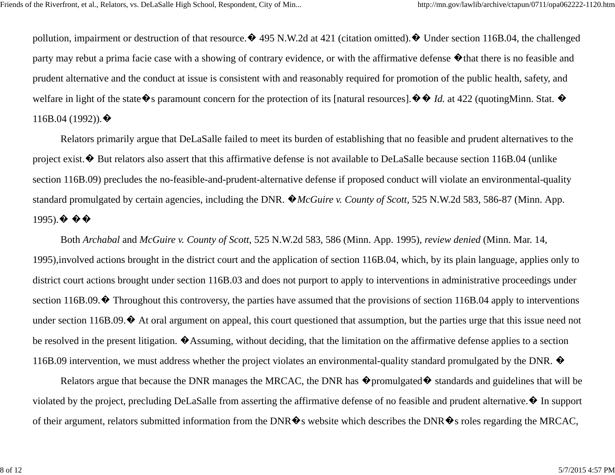pollution, impairment or destruction of that resource.  $\bullet$  495 N.W.2d at 421 (citation omitted).  $\bullet$  Under section 116B.04, the challenged party may rebut a prima facie case with a showing of contrary evidence, or with the affirmative defense �that there is no feasible and prudent alternative and the conduct at issue is consistent with and reasonably required for promotion of the public health, safety, and welfare in light of the state  $\hat{\bullet}$  s paramount concern for the protection of its [natural resources].  $\hat{\bullet}$   $\hat{\bullet}$  *Id.* at 422 (quotingMinn. Stat.  $\hat{\bullet}$ 116B.04 (1992)). $\blacklozenge$ 

Relators primarily argue that DeLaSalle failed to meet its burden of establishing that no feasible and prudent alternatives to the project exist.  $\bullet$  But relators also assert that this affirmative defense is not available to DeLaSalle because section 116B.04 (unlike section 116B.09) precludes the no-feasible-and-prudent-alternative defense if proposed conduct will violate an environmental-quality standard promulgated by certain agencies, including the DNR. �*McGuire v. County of Scott*, 525 N.W.2d 583, 586-87 (Minn. App. 1995). $\bullet \bullet \bullet$ 

Both *Archabal* and *McGuire v. County of Scott,* 525 N.W.2d 583, 586 (Minn. App. 1995), *review denied* (Minn. Mar. 14, 1995),involved actions brought in the district court and the application of section 116B.04, which, by its plain language, applies only to district court actions brought under section 116B.03 and does not purport to apply to interventions in administrative proceedings under section 116B.09.  $\bullet$  Throughout this controversy, the parties have assumed that the provisions of section 116B.04 apply to interventions under section 116B.09. $\bullet$  At oral argument on appeal, this court questioned that assumption, but the parties urge that this issue need not be resolved in the present litigation. �Assuming, without deciding, that the limitation on the affirmative defense applies to a section 116B.09 intervention, we must address whether the project violates an environmental-quality standard promulgated by the DNR.  $\bullet$ 

Relators argue that because the DNR manages the MRCAC, the DNR has  $\bullet$  promulgated  $\bullet$  standards and guidelines that will be violated by the project, precluding DeLaSalle from asserting the affirmative defense of no feasible and prudent alternative.� In support of their argument, relators submitted information from the DNR $\hat{\mathbf{\Phi}}$ s website which describes the DNR $\hat{\mathbf{\Phi}}$ s roles regarding the MRCAC,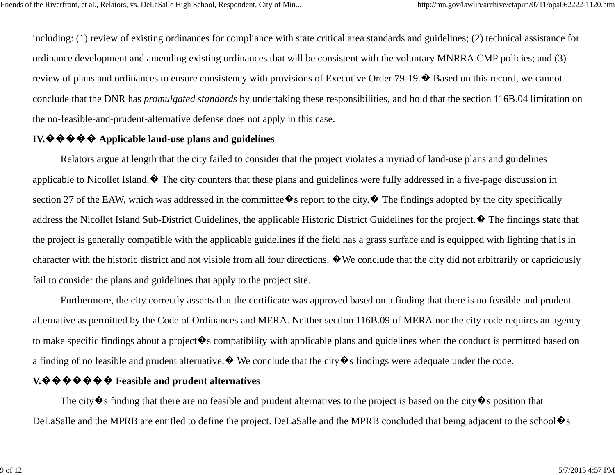including: (1) review of existing ordinances for compliance with state critical area standards and guidelines; (2) technical assistance for ordinance development and amending existing ordinances that will be consistent with the voluntary MNRRA CMP policies; and (3) review of plans and ordinances to ensure consistency with provisions of Executive Order 79-19.� Based on this record, we cannot conclude that the DNR has *promulgated standards* by undertaking these responsibilities, and hold that the section 116B.04 limitation on the no-feasible-and-prudent-alternative defense does not apply in this case.

## **IV.**����� **Applicable land-use plans and guidelines**

Relators argue at length that the city failed to consider that the project violates a myriad of land-use plans and guidelines applicable to Nicollet Island. $\bullet$  The city counters that these plans and guidelines were fully addressed in a five-page discussion in section 27 of the EAW, which was addressed in the committee  $\lozenge$  s report to the city.  $\lozenge$  The findings adopted by the city specifically address the Nicollet Island Sub-District Guidelines, the applicable Historic District Guidelines for the project.� The findings state that the project is generally compatible with the applicable guidelines if the field has a grass surface and is equipped with lighting that is in character with the historic district and not visible from all four directions.  $\bullet$  We conclude that the city did not arbitrarily or capriciously fail to consider the plans and guidelines that apply to the project site.

Furthermore, the city correctly asserts that the certificate was approved based on a finding that there is no feasible and prudent alternative as permitted by the Code of Ordinances and MERA. Neither section 116B.09 of MERA nor the city code requires an agency to make specific findings about a project  $\bullet$  s compatibility with applicable plans and guidelines when the conduct is permitted based on a finding of no feasible and prudent alternative.  $\bullet$  We conclude that the city  $\bullet$  s findings were adequate under the code.

### **V. ♦ ♦ ♦ ♦ ♦ ♦ ♦** Feasible and prudent alternatives

The city  $\hat{\mathbf{\Phi}}$ s finding that there are no feasible and prudent alternatives to the project is based on the city  $\hat{\mathbf{\Phi}}$ s position that DeLaSalle and the MPRB are entitled to define the project. DeLaSalle and the MPRB concluded that being adjacent to the school $\otimes$ s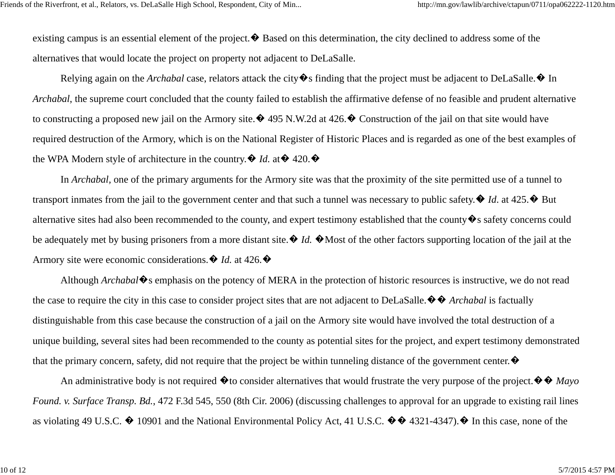existing campus is an essential element of the project.  $\bullet$  Based on this determination, the city declined to address some of the alternatives that would locate the project on property not adjacent to DeLaSalle.

Relying again on the *Archabal* case, relators attack the city  $\hat{\Phi}$ s finding that the project must be adjacent to DeLaSalle.  $\hat{\Phi}$  In *Archabal*, the supreme court concluded that the county failed to establish the affirmative defense of no feasible and prudent alternative to constructing a proposed new jail on the Armory site. $\bullet$  495 N.W.2d at 426. $\bullet$  Construction of the jail on that site would have required destruction of the Armory, which is on the National Register of Historic Places and is regarded as one of the best examples of the WPA Modern style of architecture in the country.  $\oint Id$ . at  $\oint 420$ .

In *Archabal,* one of the primary arguments for the Armory site was that the proximity of the site permitted use of a tunnel to transport inmates from the jail to the government center and that such a tunnel was necessary to public safety.  $\blacklozenge$  *Id.* at 425. $\blacklozenge$  But alternative sites had also been recommended to the county, and expert testimony established that the county�s safety concerns could be adequately met by busing prisoners from a more distant site.  $\bigcirc$  *Id.*  $\bigcirc$  Most of the other factors supporting location of the jail at the Armory site were economic considerations.  $\oint I d$ . at 426.  $\oint$ 

Although *Archabal*�s emphasis on the potency of MERA in the protection of historic resources is instructive, we do not read the case to require the city in this case to consider project sites that are not adjacent to DeLaSalle.�� *Archabal* is factually distinguishable from this case because the construction of a jail on the Armory site would have involved the total destruction of a unique building, several sites had been recommended to the county as potential sites for the project, and expert testimony demonstrated that the primary concern, safety, did not require that the project be within tunneling distance of the government center.  $\bullet$ 

An administrative body is not required �to consider alternatives that would frustrate the very purpose of the project.�� *Mayo Found. v. Surface Transp. Bd.*, 472 F.3d 545, 550 (8th Cir. 2006) (discussing challenges to approval for an upgrade to existing rail lines as violating 49 U.S.C.  $\bullet$  10901 and the National Environmental Policy Act, 41 U.S.C.  $\bullet \bullet$  4321-4347).  $\bullet$  In this case, none of the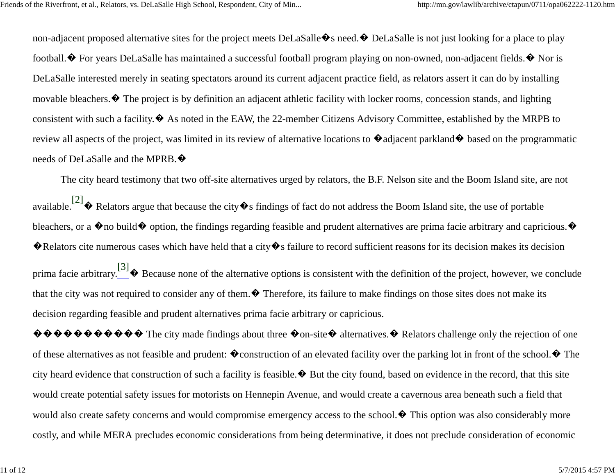non-adjacent proposed alternative sites for the project meets DeLaSalle $\bullet$ s need. $\bullet$  DeLaSalle is not just looking for a place to play football.  $\bullet$  For years DeLaSalle has maintained a successful football program playing on non-owned, non-adjacent fields.  $\bullet$  Nor is DeLaSalle interested merely in seating spectators around its current adjacent practice field, as relators assert it can do by installing movable bleachers.� The project is by definition an adjacent athletic facility with locker rooms, concession stands, and lighting consistent with such a facility.� As noted in the EAW, the 22-member Citizens Advisory Committee, established by the MRPB to review all aspects of the project, was limited in its review of alternative locations to  $\bullet$  adjacent parkland $\bullet$  based on the programmatic needs of DeLaSalle and the MPRB.�

The city heard testimony that two off-site alternatives urged by relators, the B.F. Nelson site and the Boom Island site, are not available.<sup>[2]</sup> $\bullet$  Relators argue that because the city  $\bullet$  s findings of fact do not address the Boom Island site, the use of portable bleachers, or a  $\bullet$  no build  $\bullet$  option, the findings regarding feasible and prudent alternatives are prima facie arbitrary and capricious.  $\bullet$ �Relators cite numerous cases which have held that a city�s failure to record sufficient reasons for its decision makes its decision

prima facie arbitrary.<sup>[3]</sup> $\bullet$  Because none of the alternative options is consistent with the definition of the project, however, we conclude that the city was not required to consider any of them. $\bullet$  Therefore, its failure to make findings on those sites does not make its decision regarding feasible and prudent alternatives prima facie arbitrary or capricious.

 $\hat{\mathbf{\Phi}} \hat{\mathbf{\Phi}} \hat{\mathbf{\Phi}} \hat{\mathbf{\Phi}} \hat{\mathbf{\Phi}} \hat{\mathbf{\Phi}}$  The city made findings about three  $\hat{\mathbf{\Phi}}$  on-site  $\hat{\mathbf{\Phi}}$  alternatives.  $\hat{\mathbf{\Phi}}$  Relators challenge only the rejection of one of these alternatives as not feasible and prudent:  $\bullet$  construction of an elevated facility over the parking lot in front of the school.  $\bullet$  The city heard evidence that construction of such a facility is feasible.� But the city found, based on evidence in the record, that this site would create potential safety issues for motorists on Hennepin Avenue, and would create a cavernous area beneath such a field that would also create safety concerns and would compromise emergency access to the school.  $\blacklozenge$  This option was also considerably more costly, and while MERA precludes economic considerations from being determinative, it does not preclude consideration of economic